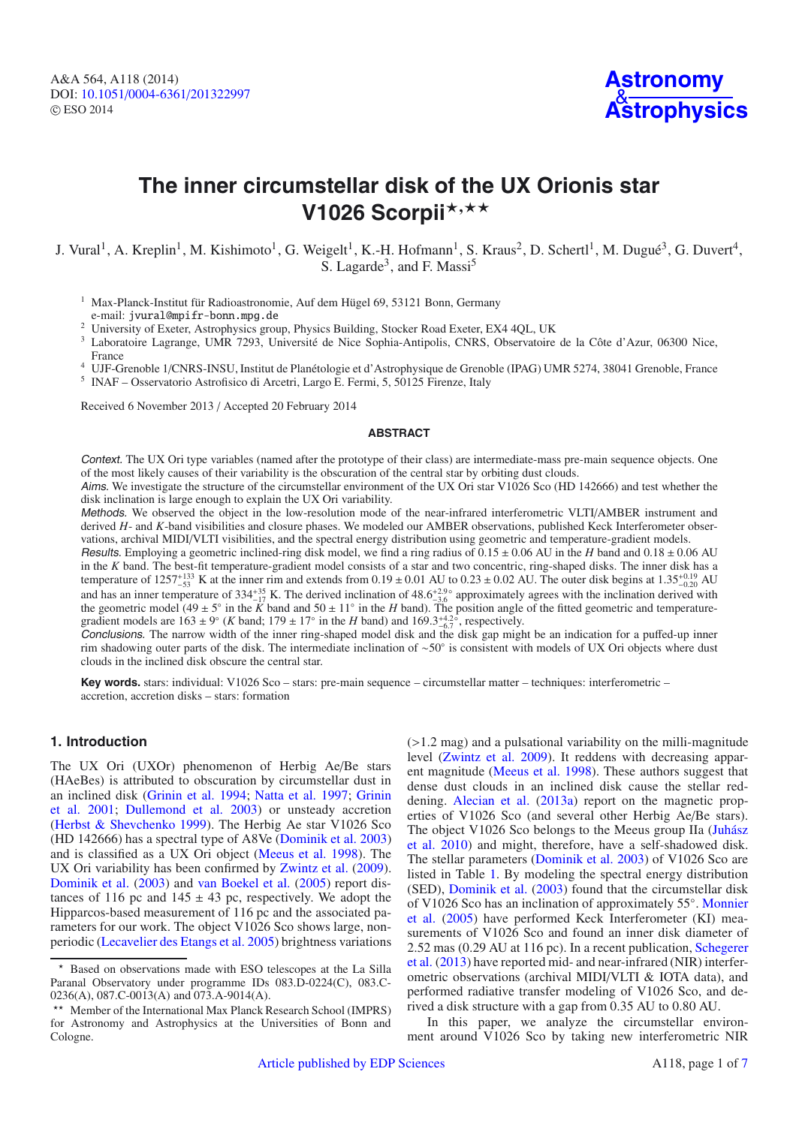A&A 564, A118 (2014) DOI: 10.1051/0004-6361/[201322997](http://dx.doi.org/10.1051/0004-6361/201322997) © ESO 2014



# **The inner circumstellar disk of the UX Orionis star** V1026 Scorpii\*,\*\*

## J. Vural<sup>1</sup>, A. Kreplin<sup>1</sup>, M. Kishimoto<sup>1</sup>, G. Weigelt<sup>1</sup>, K.-H. Hofmann<sup>1</sup>, S. Kraus<sup>2</sup>, D. Schertl<sup>1</sup>, M. Dugué<sup>3</sup>, G. Duvert<sup>4</sup>, S. Lagarde<sup>3</sup>, and F. Massi<sup>5</sup>

<sup>1</sup> Max-Planck-Institut für Radioastronomie, Auf dem Hügel 69, 53121 Bonn, Germany e-mail: jvural@mpifr-bonn.mpg.de

<sup>2</sup> University of Exeter, Astrophysics group, Physics Building, Stocker Road Exeter, EX4 4QL, UK

<sup>3</sup> Laboratoire Lagrange, UMR 7293, Université de Nice Sophia-Antipolis, CNRS, Observatoire de la Côte d'Azur, 06300 Nice, France

<sup>4</sup> UJF-Grenoble 1/CNRS-INSU, Institut de Planétologie et d'Astrophysique de Grenoble (IPAG) UMR 5274, 38041 Grenoble, France <sup>5</sup> INAF – Osservatorio Astrofisico di Arcetri, Largo E. Fermi, 5, 50125 Firenze, Italy

Received 6 November 2013 / Accepted 20 February 2014

#### **ABSTRACT**

Context. The UX Ori type variables (named after the prototype of their class) are intermediate-mass pre-main sequence objects. One of the most likely causes of their variability is the obscuration of the central star by orbiting dust clouds.

Aims. We investigate the structure of the circumstellar environment of the UX Ori star V1026 Sco (HD 142666) and test whether the disk inclination is large enough to explain the UX Ori variability.

Methods. We observed the object in the low-resolution mode of the near-infrared interferometric VLTI/AMBER instrument and derived *H*- and *K*-band visibilities and closure phases. We modeled our AMBER observations, published Keck Interferometer observations, archival MIDI/VLTI visibilities, and the spectral energy distribution using geometric and temperature-gradient models.

Results. Employing a geometric inclined-ring disk model, we find a ring radius of  $0.15 \pm 0.06$  AU in the *H* band and  $0.18 \pm 0.06$  AU in the *K* band. The best-fit temperature-gradient model consists of a star and two concentric, ring-shaped disks. The inner disk has a temperature of  $1257^{+133}_{-53}$  K at the inner rim and extends from  $0.19 \pm 0.01$  AU to  $0.23 \pm 0.02$  AU. The outer disk begins at  $1.35^{+0.19}_{-0.20}$  AU and has an inner temperature of  $334^{+35}_{-17}$  K. The derived inclination of  $48.6^{+2.9\circ}_{-3.6}$  approximately agrees with the inclination derived with the geometric model (49 ± 5<sup>°</sup> in the *K* band and 50 ± 11<sup>°</sup> in the *H* band). The position angle of the fitted geometric and temperaturegradient models are  $163 \pm 9^\circ$  (*K* band;  $179 \pm 17^\circ$  in the *H* band) and  $169.3^{+4.2^\circ}_{-6.7}$ , respectively.

Conclusions. The narrow width of the inner ring-shaped model disk and the disk gap might be an indication for a puffed-up inner rim shadowing outer parts of the disk. The intermediate inclination of ∼50◦ is consistent with models of UX Ori objects where dust clouds in the inclined disk obscure the central star.

**Key words.** stars: individual: V1026 Sco – stars: pre-main sequence – circumstellar matter – techniques: interferometric – accretion, accretion disks – stars: formation

## **1. Introduction**

The UX Ori (UXOr) phenomenon of Herbig Ae/Be stars (HAeBes) is attributed to obscuration by circumstellar dust in an in[clined disk](#page-6-2) [\(Grinin et al. 1994](#page-6-0)[;](#page-6-2) [Natta et al. 1997](#page-6-1); Grinin et al. [2001;](#page-6-2) [Dullemond et al. 2003](#page-6-3)) or unsteady accretion [\(Herbst & Shevchenko 1999](#page-6-4)). The Herbig Ae star V1026 Sco (HD 142666) has a spectral type of A8Ve [\(Dominik et al. 2003](#page-6-5)) and is classified as a UX Ori object [\(Meeus et al. 1998\)](#page-6-6). The UX Ori variability has been confirmed by [Zwintz et al.](#page-6-7) [\(2009\)](#page-6-7). [Dominik et al.](#page-6-5) [\(2003\)](#page-6-5) and [van Boekel et al.](#page-6-8) [\(2005\)](#page-6-8) report distances of 116 pc and  $145 \pm 43$  pc, respectively. We adopt the Hipparcos-based measurement of 116 pc and the associated parameters for our work. The object V1026 Sco shows large, nonperiodic [\(Lecavelier des Etangs et al. 2005](#page-6-9)) brightness variations (>1.2 mag) and a pulsational variability on the milli-magnitude level [\(Zwintz et al. 2009](#page-6-7)). It reddens with decreasing apparent magnitude [\(Meeus et al. 1998](#page-6-6)). These authors suggest that dense dust clouds in an inclined disk cause the stellar reddening. [Alecian et al.](#page-6-10) [\(2013a\)](#page-6-10) report on the magnetic properties of V1026 Sco (and several other Herbig Ae/Be stars). The [object V1026 Sco belongs to the Meeus group IIa \(](#page-6-11)Juhász et al. [2010\)](#page-6-11) and might, therefore, have a self-shadowed disk. The stellar parameters [\(Dominik et al. 2003\)](#page-6-5) of V1026 Sco are listed in Table [1.](#page-1-0) By modeling the spectral energy distribution (SED), [Dominik et al.](#page-6-5) [\(2003](#page-6-5)) found that the circumstellar disk of V[1026 Sco has an inclination of approximately 55](#page-6-12)◦. Monnier et al. [\(2005\)](#page-6-12) have performed Keck Interferometer (KI) measurements of V1026 Sco and found an inner disk diameter of 2.52 [mas \(0.29 AU at 116 pc\). In a recent publication,](#page-6-13) Schegerer et al. [\(2013\)](#page-6-13) have reported mid- and near-infrared (NIR) interferometric observations (archival MIDI/VLTI & IOTA data), and performed radiative transfer modeling of V1026 Sco, and derived a disk structure with a gap from 0.35 AU to 0.80 AU.

In this paper, we analyze the circumstellar environment around V1026 Sco by taking new interferometric NIR

<sup>-</sup> Based on observations made with ESO telescopes at the La Silla Paranal Observatory under programme IDs 083.D-0224(C), 083.C-0236(A), 087.C-0013(A) and 073.A-9014(A).

<sup>\*\*</sup> Member of the International Max Planck Research School (IMPRS) for Astronomy and Astrophysics at the Universities of Bonn and Cologne.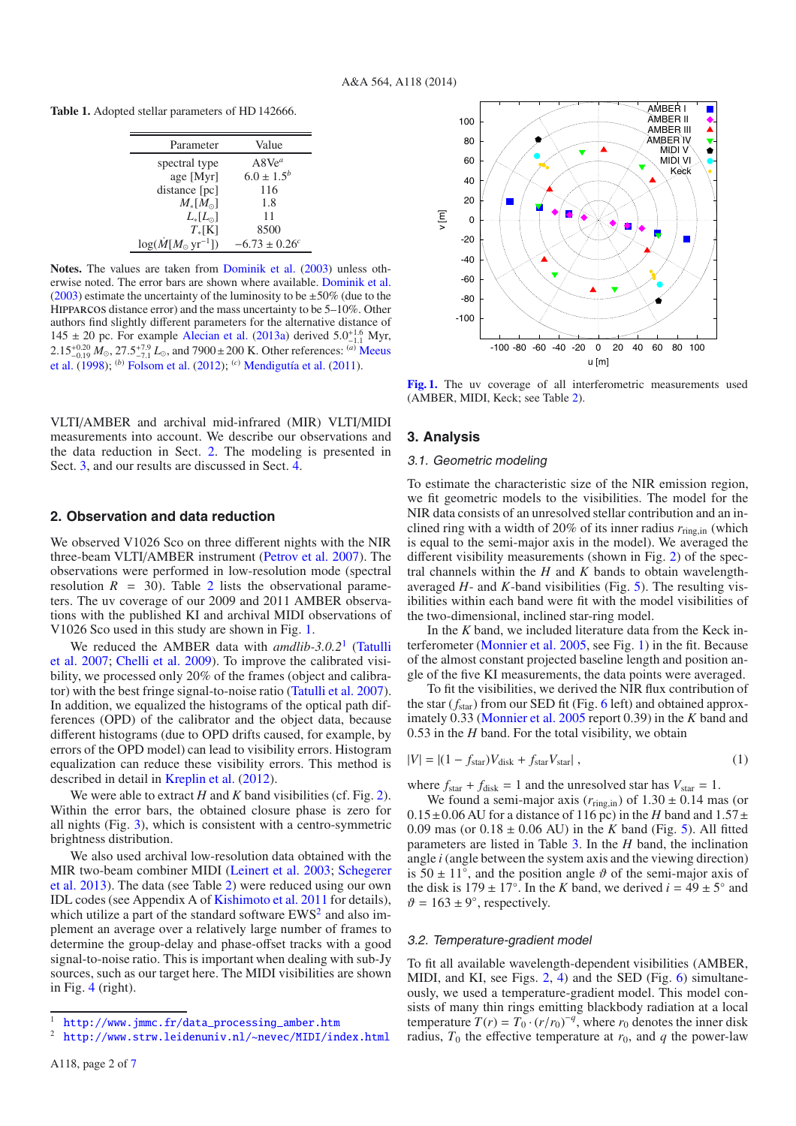<span id="page-1-0"></span>**Table 1.** Adopted stellar parameters of HD 142666.

| Value                         |
|-------------------------------|
| $A8Ve^a$                      |
| $6.0 \pm 1.5^{b}$             |
| 116                           |
| 1.8                           |
| 11                            |
| 8500                          |
| $-6.73 \pm 0.26$ <sup>c</sup> |
|                               |

**Notes.** The values are taken from [Dominik et al.](#page-6-5) [\(2003](#page-6-5)) unless otherwise noted. The error bars are shown where available. [Dominik et al.](#page-6-5) [\(2003](#page-6-5)) estimate the uncertainty of the luminosity to be  $\pm 50\%$  (due to the Hipparcos distance error) and the mass uncertainty to be 5–10%. Other authors find slightly different parameters for the alternative distance of 145 ± 20 pc. For example [Alecian et al.](#page-6-10) [\(2013a](#page-6-10)) derived  $5.0^{+1.6}_{-1.1}$  Myr,  $2.15^{+0.20}_{-0.19} M_{\odot}$ ,  $27.5^{+7.9}_{-7.1} L_{\odot}$ , and 7900 ± [200 K. Other references:](#page-6-6) <sup>(a)</sup> Meeus et al. [\(1998](#page-6-6)); (*b*) [Folsom et al.](#page-6-15) [\(2012](#page-6-15)); (*c*) [Mendigutía et al.](#page-6-16) [\(2011](#page-6-16)).

VLTI/AMBER and archival mid-infrared (MIR) VLTI/MIDI measurements into account. We describe our observations and the data reduction in Sect. [2.](#page-1-1) The modeling is presented in Sect. [3,](#page-1-2) and our results are discussed in Sect. [4.](#page-3-0)

#### <span id="page-1-1"></span>**2. Observation and data reduction**

We observed V1026 Sco on three different nights with the NIR three-beam VLTI/AMBER instrument [\(Petrov et al. 2007\)](#page-6-17). The observations were performed in low-resolution mode (spectral resolution  $R = 30$ . Table [2](#page-2-0) lists the observational parameters. The uv coverage of our 2009 and 2011 AMBER observations with the published KI and archival MIDI observations of V1026 Sco used in this study are shown in Fig. [1.](#page-1-3)

[We reduced the AMBER data with](#page-6-18) *amdlib-3.0.2*[1](#page-1-4) (Tatulli et al. [2007](#page-6-18); [Chelli et al. 2009](#page-6-19)). To improve the calibrated visibility, we processed only 20% of the frames (object and calibrator) with the best fringe signal-to-noise ratio [\(Tatulli et al. 2007\)](#page-6-18). In addition, we equalized the histograms of the optical path differences (OPD) of the calibrator and the object data, because different histograms (due to OPD drifts caused, for example, by errors of the OPD model) can lead to visibility errors. Histogram equalization can reduce these visibility errors. This method is described in detail in [Kreplin et al.](#page-6-20) [\(2012\)](#page-6-20).

We were able to extract  $H$  and  $K$  band visibilities (cf. Fig. [2\)](#page-2-1). Within the error bars, the obtained closure phase is zero for all nights (Fig. [3\)](#page-3-1), which is consistent with a centro-symmetric brightness distribution.

<span id="page-1-5"></span><span id="page-1-4"></span>We also used archival low-resolution data obtained with the MIR [two-beam combiner MIDI](#page-6-13) [\(Leinert et al. 2003](#page-6-21)[;](#page-6-13) Schegerer et al. [2013\)](#page-6-13). The data (see Table [2\)](#page-2-0) were reduced using our own IDL codes (see Appendix A of [Kishimoto et al. 2011](#page-6-22) for details), which utilize a part of the standard software  $EWS<sup>2</sup>$  and also implement an average over a relatively large number of frames to determine the group-delay and phase-offset tracks with a good signal-to-noise ratio. This is important when dealing with sub-Jy sources, such as our target here. The MIDI visibilities are shown in Fig. [4](#page-4-0) (right).

<span id="page-1-3"></span>

**[Fig. 1.](http://dexter.edpsciences.org/applet.php?DOI=10.1051/0004-6361/201322997&pdf_id=1)** The uv coverage of all interferometric measurements used (AMBER, MIDI, Keck; see Table [2\)](#page-2-0).

#### <span id="page-1-6"></span><span id="page-1-2"></span>**3. Analysis**

#### 3.1. Geometric modeling

To estimate the characteristic size of the NIR emission region, we fit geometric models to the visibilities. The model for the NIR data consists of an unresolved stellar contribution and an inclined ring with a width of 20% of its inner radius *r*ring,in (which is equal to the semi-major axis in the model). We averaged the different visibility measurements (shown in Fig. [2\)](#page-2-1) of the spectral channels within the *H* and *K* bands to obtain wavelengthaveraged *H*- and *K*-band visibilities (Fig. [5\)](#page-4-1). The resulting visibilities within each band were fit with the model visibilities of the two-dimensional, inclined star-ring model.

In the *K* band, we included literature data from the Keck interferometer [\(Monnier et al. 2005](#page-6-12), see Fig. [1\)](#page-1-3) in the fit. Because of the almost constant projected baseline length and position angle of the five KI measurements, the data points were averaged.

To fit the visibilities, we derived the NIR flux contribution of the star (*f*star) from our SED fit (Fig. [6](#page-4-2) left) and obtained approximately 0.33 [\(Monnier et al. 2005](#page-6-12) report 0.39) in the *K* band and 0.53 in the *H* band. For the total visibility, we obtain

$$
|V| = |(1 - f_{\text{star}})V_{\text{disk}} + f_{\text{star}}V_{\text{star}}|,
$$
\n(1)

where  $f_{\text{star}} + f_{\text{disk}} = 1$  and the unresolved star has  $V_{\text{star}} = 1$ .

We found a semi-major axis  $(r_{\text{ring,in}})$  of  $1.30 \pm 0.14$  mas (or  $0.15\pm0.06$  AU for a distance of 116 pc) in the *H* band and  $1.57\pm$ 0.09 mas (or  $0.18 \pm 0.06$  AU) in the *K* band (Fig. [5\)](#page-4-1). All fitted parameters are listed in Table [3.](#page-3-2) In the *H* band, the inclination angle *i* (angle between the system axis and the viewing direction) is  $50 \pm 11^\circ$ , and the position angle  $\vartheta$  of the semi-major axis of the disk is  $179 \pm 17^\circ$ . In the *K* band, we derived  $i = 49 \pm 5^\circ$  and  $\vartheta = 163 \pm 9^{\circ}$ , respectively.

#### 3.2. Temperature-gradient model

To fit all available wavelength-dependent visibilities (AMBER, MIDI, and KI, see Figs. [2,](#page-2-1) [4\)](#page-4-0) and the SED (Fig. [6\)](#page-4-2) simultaneously, we used a temperature-gradient model. This model consists of many thin rings emitting blackbody radiation at a local temperature  $T(r) = T_0 \cdot (r/r_0)^{-q}$ , where  $r_0$  denotes the inner disk radius,  $T_0$  the effective temperature at  $r_0$ , and  $q$  the power-law

<sup>&</sup>lt;sup>1</sup> [http://www.jmmc.fr/data\\_processing\\_amber.htm](http://www.jmmc.fr/data_processing_amber.htm)<br><sup>2</sup> http://www.strw.laidenuniv.nl/.nevec/MIDI/in

<http://www.strw.leidenuniv.nl/~nevec/MIDI/index.html>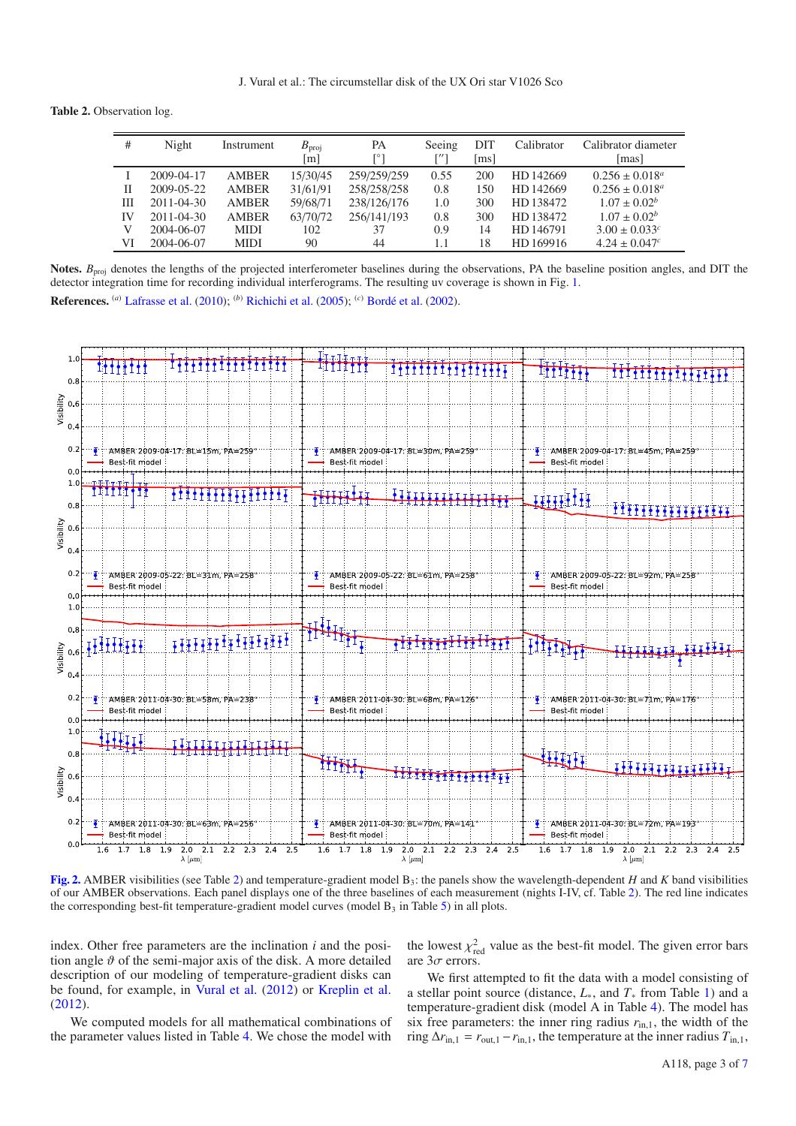<span id="page-2-0"></span>**Table 2.** Observation log.

| #  | Night            | Instrument   | $B_{\text{proj}}$<br> m | PA<br>ſ°۱   | Seeing | DIT<br>$\lceil ms \rceil$ | Calibrator | Calibrator diameter<br>[mas]  |
|----|------------------|--------------|-------------------------|-------------|--------|---------------------------|------------|-------------------------------|
|    | 2009-04-17       | <b>AMBER</b> | 15/30/45                | 259/259/259 | 0.55   | 200                       | HD 142669  | $0.256 \pm 0.018^a$           |
| П  | 2009-05-22       | <b>AMBER</b> | 31/61/91                | 258/258/258 | 0.8    | 150                       | HD 142669  | $0.256 \pm 0.018^a$           |
| Ш  | $2011 - 04 - 30$ | <b>AMBER</b> | 59/68/71                | 238/126/176 | 1.0    | 300                       | HD 138472  | $1.07 \pm 0.02^b$             |
| IV | 2011-04-30       | <b>AMBER</b> | 63/70/72                | 256/141/193 | 0.8    | 300                       | HD 138472  | $1.07 \pm 0.02^b$             |
|    | 2004-06-07       | <b>MIDI</b>  | 102                     | 37          | 0.9    | 14                        | HD 146791  | $3.00 \pm 0.033$ <sup>c</sup> |
| VI | 2004-06-07       | <b>MIDI</b>  | 90                      | 44          | 1.1    | 18                        | HD 169916  | $4.24 \pm 0.047$ <sup>c</sup> |

Notes.  $B_{\text{proj}}$  denotes the lengths of the projected interferometer baselines during the observations, PA the baseline position angles, and DIT the detector integration time for recording individual interferograms. The resulting uv coverage is shown in Fig. [1.](#page-1-3)

**References.** (*a*) [Lafrasse et al.](#page-6-23) [\(2010\)](#page-6-23); (*b*) [Richichi et al.](#page-6-24) [\(2005](#page-6-24)); (*c*) [Bordé et al.](#page-6-25) [\(2002\)](#page-6-25).



<span id="page-2-1"></span>**[Fig. 2.](http://dexter.edpsciences.org/applet.php?DOI=10.1051/0004-6361/201322997&pdf_id=2)** AMBER visibilities (see Table [2\)](#page-2-0) and temperature-gradient model B3: the panels show the wavelength-dependent *H* and *K* band visibilities of our AMBER observations. Each panel displays one of the three baselines of each measurement (nights I-IV, cf. Table [2\)](#page-2-0). The red line indicates the corresponding best-fit temperature-gradient model curves (model  $B_3$  in Table [5\)](#page-5-0) in all plots.

index. Other free parameters are the inclination *i* and the position angle  $\vartheta$  of the semi-major axis of the disk. A more detailed description of our modeling of temperature-gradient disks can be found, for example, in [Vural et al.](#page-6-26) [\(2012](#page-6-26)) or [Kreplin et al.](#page-6-20) [\(2012](#page-6-20)).

We computed models for all mathematical combinations of the parameter values listed in Table [4.](#page-5-1) We chose the model with

the lowest  $\chi^2_{\text{red}}$  value as the best-fit model. The given error bars are  $3\sigma$  errors.

We first attempted to fit the data with a model consisting of a stellar point source (distance, *L*∗, and *T*<sup>∗</sup> from Table [1\)](#page-1-0) and a temperature-gradient disk (model A in Table [4\)](#page-5-1). The model has six free parameters: the inner ring radius  $r_{\text{in},1}$ , the width of the ring  $\Delta r_{\text{in},1} = r_{\text{out},1} - r_{\text{in},1}$ , the temperature at the inner radius  $T_{\text{in},1}$ ,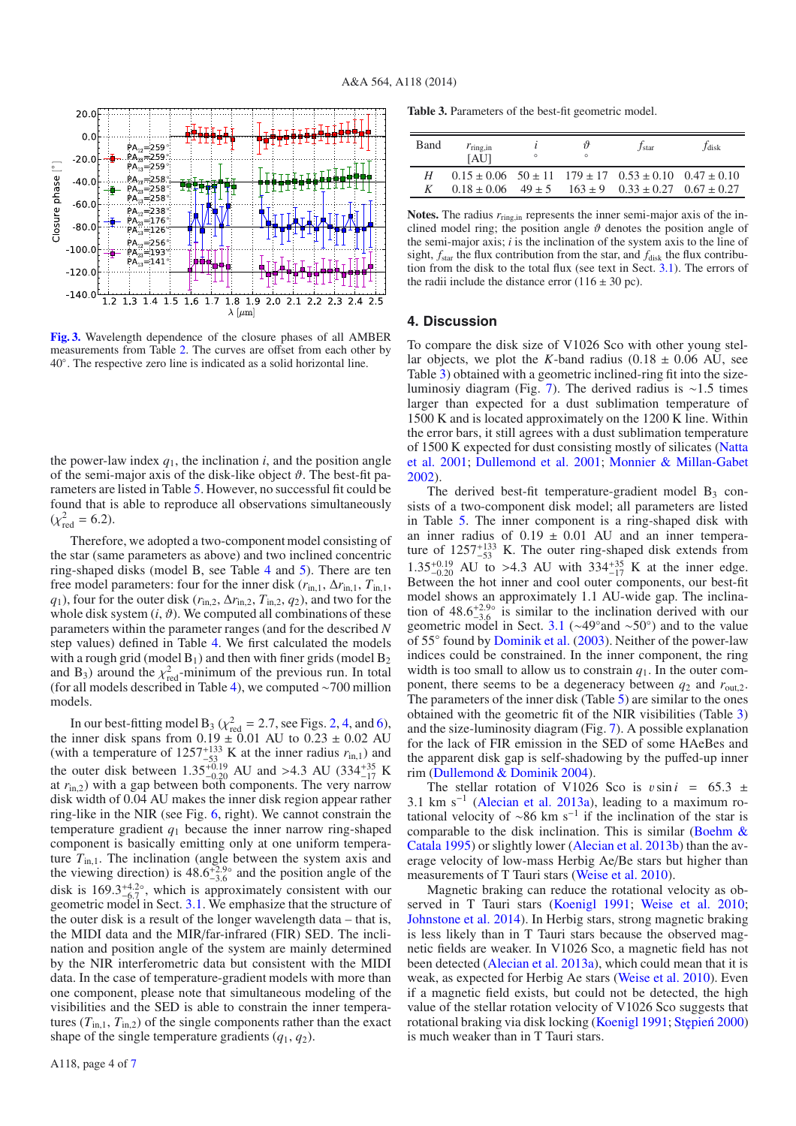<span id="page-3-1"></span>

**[Fig. 3.](http://dexter.edpsciences.org/applet.php?DOI=10.1051/0004-6361/201322997&pdf_id=3)** Wavelength dependence of the closure phases of all AMBER measurements from Table [2.](#page-2-0) The curves are offset from each other by 40◦. The respective zero line is indicated as a solid horizontal line.

the power-law index  $q_1$ , the inclination *i*, and the position angle of the semi-major axis of the disk-like object  $\vartheta$ . The best-fit parameters are listed in Table [5.](#page-5-0) However, no successful fit could be found that is able to reproduce all observations simultaneously  $(\chi^2_{\text{red}} = 6.2).$ 

Therefore, we adopted a two-component model consisting of the star (same parameters as above) and two inclined concentric ring-shaped disks (model B, see Table [4](#page-5-1) and [5\)](#page-5-0). There are ten free model parameters: four for the inner disk  $(r_{\text{in},1}, \Delta r_{\text{in},1}, T_{\text{in},1})$ , *q*<sub>1</sub>), four for the outer disk ( $r_{\text{in},2}$ ,  $\Delta r_{\text{in},2}$ ,  $T_{\text{in},2}$ ,  $q_2$ ), and two for the whole disk system  $(i, \vartheta)$ . We computed all combinations of these parameters within the parameter ranges (and for the described *N* step values) defined in Table [4.](#page-5-1) We first calculated the models with a rough grid (model  $B_1$ ) and then with finer grids (model  $B_2$ and B<sub>3</sub>) around the  $\chi^2_{\text{red}}$ -minimum of the previous run. In total (for all models described in Table [4\)](#page-5-1), we computed ∼700 million models.

In our best-fitting model B<sub>3</sub> ( $\chi^2_{\text{red}} = 2.7$ , see Figs. [2,](#page-2-1) [4,](#page-4-0) and [6\)](#page-4-2), the inner disk spans from  $0.19 \pm 0.01$  AU to  $0.23 \pm 0.02$  AU (with a temperature of  $1257^{+133}_{-53}$  K at the inner radius  $r_{\text{in},1}$ ) and the outer disk between  $1.35_{-0.20}^{+0.19}$  AU and >4.3 AU (334<sup>+35</sup> K at  $r_{\text{in,2}}$ ) with a gap between both components. The very narrow disk width of 0.04 AU makes the inner disk region appear rather ring-like in the NIR (see Fig. [6,](#page-4-2) right). We cannot constrain the temperature gradient  $q_1$  because the inner narrow ring-shaped component is basically emitting only at one uniform temperature  $T_{\text{in}}$ . The inclination (angle between the system axis and the viewing direction) is  $48.6^{+2.9\circ}_{-3.6}$  and the position angle of the disk is  $169.3^{+4.2\circ}_{-6.7}$ , which is approximately consistent with our geometric model in Sect. [3.1.](#page-1-6) We emphasize that the structure of the outer disk is a result of the longer wavelength data – that is, the MIDI data and the MIR/far-infrared (FIR) SED. The inclination and position angle of the system are mainly determined by the NIR interferometric data but consistent with the MIDI data. In the case of temperature-gradient models with more than one component, please note that simultaneous modeling of the visibilities and the SED is able to constrain the inner temperatures  $(T_{\text{in},1}, T_{\text{in},2})$  of the single components rather than the exact shape of the single temperature gradients  $(q_1, q_2)$ .

<span id="page-3-2"></span>**Table 3.** Parameters of the best-fit geometric model.

| Band | $r_{\rm ring,in}$<br>[AU] | $\circ$ | îΫ<br>$\circ$ | /star                                                                    | <i>J</i> disk |
|------|---------------------------|---------|---------------|--------------------------------------------------------------------------|---------------|
| Н    |                           |         |               | $0.15 \pm 0.06$ $50 \pm 11$ $179 \pm 17$ $0.53 \pm 0.10$ $0.47 \pm 0.10$ |               |
| K    |                           |         |               | $0.18 \pm 0.06$ $49 \pm 5$ $163 \pm 9$ $0.33 \pm 0.27$ $0.67 \pm 0.27$   |               |

Notes. The radius  $r_{\text{ring,in}}$  represents the inner semi-major axis of the inclined model ring; the position angle  $\vartheta$  denotes the position angle of the semi-major axis; *i* is the inclination of the system axis to the line of sight,  $f_{\text{star}}$  the flux contribution from the star, and  $f_{\text{disk}}$  the flux contribution from the disk to the total flux (see text in Sect. [3.1\)](#page-1-6). The errors of the radii include the distance error  $(116 \pm 30 \text{ pc})$ .

#### <span id="page-3-0"></span>**4. Discussion**

To compare the disk size of V1026 Sco with other young stellar objects, we plot the *K*-band radius  $(0.18 \pm 0.06 \text{ AU})$ , see Table [3\)](#page-3-2) obtained with a geometric inclined-ring fit into the sizeluminosiy diagram (Fig. [7\)](#page-5-2). The derived radius is ∼1.5 times larger than expected for a dust sublimation temperature of 1500 K and is located approximately on the 1200 K line. Within the error bars, it still agrees with a dust sublimation temperature of 15[00 K expected for dust consisting mostly of silicates \(](#page-6-27)Natta et al. [2001](#page-6-27); [Dullemond et al. 2001](#page-6-28); [Monnier & Millan-Gabet](#page-6-29) [2002\)](#page-6-29).

The derived best-fit temperature-gradient model  $B_3$  consists of a two-component disk model; all parameters are listed in Table [5.](#page-5-0) The inner component is a ring-shaped disk with an inner radius of  $0.19 \pm 0.01$  AU and an inner temperature of  $1257^{+133}_{-53}$  K. The outer ring-shaped disk extends from  $1.35_{-0.20}^{+0.19}$  AU to >4.3 AU with  $334_{-17}^{+35}$  K at the inner edge.<br>Between the hot inner and cool outer components, our best-fit model shows an approximately 1.1 AU-wide gap. The inclination of 48.6<sup>+2.9</sup>° is similar to the inclination derived with our convention  $3.6^{+2.9}$  is similar to the inclination derived geometric model in Sect. [3.1](#page-1-6) (∼49◦and ∼50◦) and to the value of 55◦ found by [Dominik et al.](#page-6-5) [\(2003](#page-6-5)). Neither of the power-law indices could be constrained. In the inner component, the ring width is too small to allow us to constrain  $q_1$ . In the outer component, there seems to be a degeneracy between *q*<sup>2</sup> and *r*out,2. The parameters of the inner disk (Table [5\)](#page-5-0) are similar to the ones obtained with the geometric fit of the NIR visibilities (Table [3\)](#page-3-2) and the size-luminosity diagram (Fig. [7\)](#page-5-2). A possible explanation for the lack of FIR emission in the SED of some HAeBes and the apparent disk gap is self-shadowing by the puffed-up inner rim [\(Dullemond & Dominik 2004\)](#page-6-30).

The stellar rotation of V1026 Sco is  $v \sin i = 65.3 \pm i$ 3.1 km s<sup> $-1$ </sup> [\(Alecian et al. 2013a\)](#page-6-10), leading to a maximum rotational velocity of ~86 km s<sup>-1</sup> if the inclination of the star is comp[arable to the disk inclination. This is similar \(](#page-6-31)Boehm  $\&$ Catala [1995](#page-6-31)) or slightly lower [\(Alecian et al. 2013b\)](#page-6-32) than the average velocity of low-mass Herbig Ae/Be stars but higher than measurements of T Tauri stars [\(Weise et al. 2010](#page-6-33)).

Magnetic braking can reduce the rotational velocity as ob-served in T Tauri stars [\(Koenigl 1991](#page-6-34); [Weise et al. 2010;](#page-6-33) [Johnstone et al. 2014](#page-6-35)). In Herbig stars, strong magnetic braking is less likely than in T Tauri stars because the observed magnetic fields are weaker. In V1026 Sco, a magnetic field has not been detected [\(Alecian et al. 2013a](#page-6-10)), which could mean that it is weak, as expected for Herbig Ae stars [\(Weise et al. 2010\)](#page-6-33). Even if a magnetic field exists, but could not be detected, the high value of the stellar rotation velocity of V1026 Sco suggests that rotational braking via disk locking [\(Koenigl 1991](#page-6-34); Stępień 2000) is much weaker than in T Tauri stars.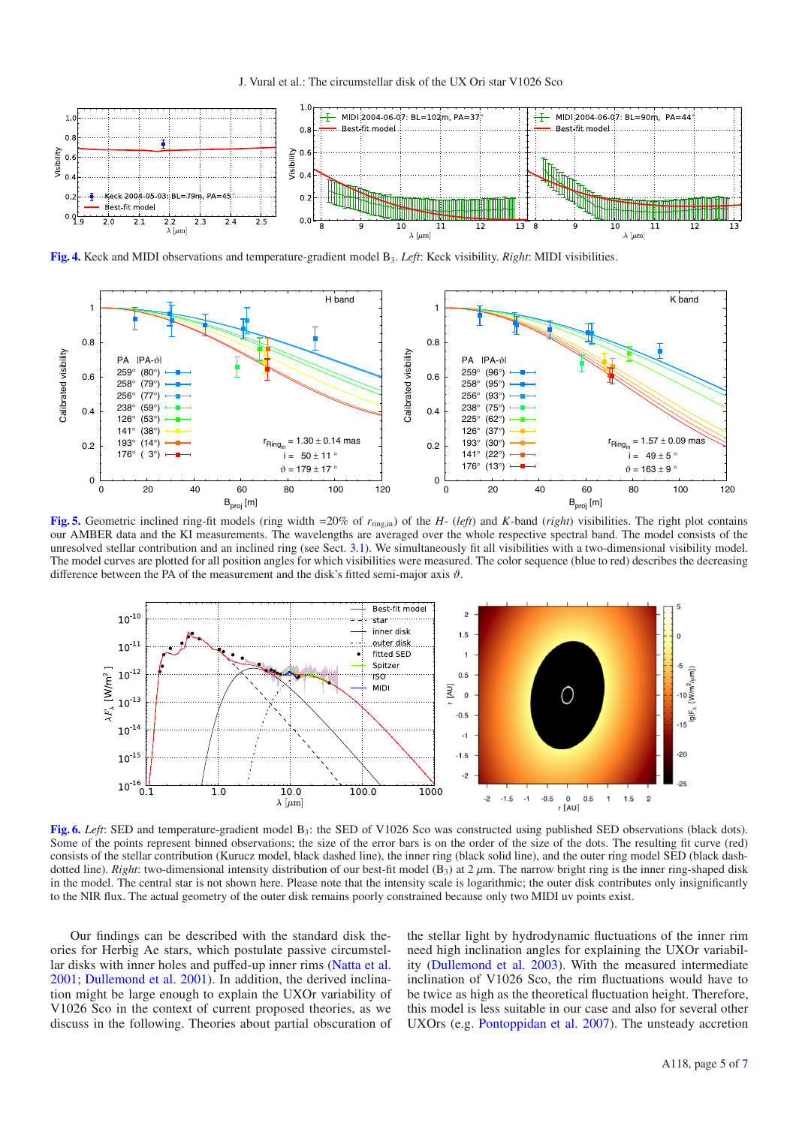J. Vural et al.: The circumstellar disk of the UX Ori star V1026 Sco

<span id="page-4-0"></span>

**[Fig. 4.](http://dexter.edpsciences.org/applet.php?DOI=10.1051/0004-6361/201322997&pdf_id=4)** Keck and MIDI observations and temperature-gradient model B3. *Left*: Keck visibility. *Right*: MIDI visibilities.

<span id="page-4-1"></span>

**[Fig. 5.](http://dexter.edpsciences.org/applet.php?DOI=10.1051/0004-6361/201322997&pdf_id=5)** Geometric inclined ring-fit models (ring width =20% of *r*ring,in) of the *H*- (*left*) and *K*-band (*right*) visibilities. The right plot contains our AMBER data and the KI measurements. The wavelengths are averaged over the whole respective spectral band. The model consists of the unresolved stellar contribution and an inclined ring (see Sect. [3.1\)](#page-1-6). We simultaneously fit all visibilities with a two-dimensional visibility model. The model curves are plotted for all position angles for which visibilities were measured. The color sequence (blue to red) describes the decreasing difference between the PA of the measurement and the disk's fitted semi-major axis  $\vartheta$ .

<span id="page-4-2"></span>

**[Fig. 6.](http://dexter.edpsciences.org/applet.php?DOI=10.1051/0004-6361/201322997&pdf_id=6)** *Left*: SED and temperature-gradient model  $B_3$ ; the SED of V1026 Sco was constructed using published SED observations (black dots). Some of the points represent binned observations; the size of the error bars is on the order of the size of the dots. The resulting fit curve (red) consists of the stellar contribution (Kurucz model, black dashed line), the inner ring (black solid line), and the outer ring model SED (black dashdotted line). *Right*: two-dimensional intensity distribution of our best-fit model  $(B_3)$  at  $2 \mu$ m. The narrow bright ring is the inner ring-shaped disk in the model. The central star is not shown here. Please note that the intensity scale is logarithmic; the outer disk contributes only insignificantly to the NIR flux. The actual geometry of the outer disk remains poorly constrained because only two MIDI uv points exist.

Our findings can be described with the standard disk theories for Herbig Ae stars, which postulate passive circumstellar disks with inner holes and puffed-up inner rims [\(Natta et al.](#page-6-27) [2001;](#page-6-27) [Dullemond et al. 2001](#page-6-28)). In addition, the derived inclination might be large enough to explain the UXOr variability of V1026 Sco in the context of current proposed theories, as we discuss in the following. Theories about partial obscuration of the stellar light by hydrodynamic fluctuations of the inner rim need high inclination angles for explaining the UXOr variability [\(Dullemond et al. 2003](#page-6-3)). With the measured intermediate inclination of V1026 Sco, the rim fluctuations would have to be twice as high as the theoretical fluctuation height. Therefore, this model is less suitable in our case and also for several other UXOrs (e.g. [Pontoppidan et al. 2007\)](#page-6-37). The unsteady accretion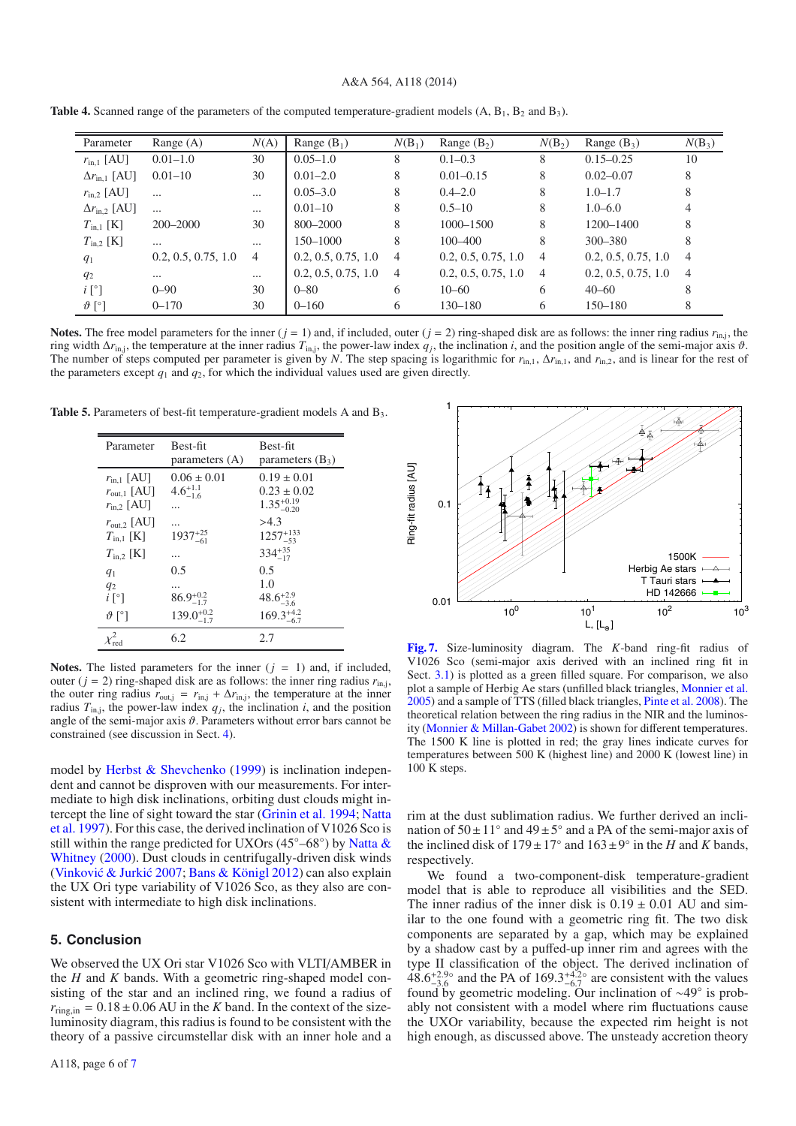#### A&A 564, A118 (2014)

<span id="page-5-0"></span>

| Parameter                    | Range $(A)$         | N(A)     | Range $(B_1)$       | $N(B_1)$       | Range $(B_2)$       | $N(B_2)$       | Range $(B_3)$       | $N(B_3)$       |
|------------------------------|---------------------|----------|---------------------|----------------|---------------------|----------------|---------------------|----------------|
| $r_{\rm in,1}$ [AU]          | $0.01 - 1.0$        | 30       | $0.05 - 1.0$        | 8              | $0.1 - 0.3$         | 8              | $0.15 - 0.25$       | 10             |
| $\Delta r_{\rm in.1}$ [AU]   | $0.01 - 10$         | 30       | $0.01 - 2.0$        | 8              | $0.01 - 0.15$       | 8              | $0.02 - 0.07$       | 8              |
| $r_{\text{in},2}$ [AU]       | $\cdots$            | $\cdots$ | $0.05 - 3.0$        | 8              | $0.4 - 2.0$         | 8              | $1.0 - 1.7$         | 8              |
| $\Delta r_{\rm in.2}$ [AU]   | $\cdots$            | $\cdots$ | $0.01 - 10$         | 8              | $0.5 - 10$          | 8              | $1.0 - 6.0$         | 4              |
| $T_{\text{in},1}$ [K]        | $200 - 2000$        | 30       | $800 - 2000$        | 8              | $1000 - 1500$       | 8              | $1200 - 1400$       | 8              |
| $T_{\text{in},2}$ [K]        | $\cdots$            | $\cdots$ | $150 - 1000$        | 8              | $100 - 400$         | 8              | $300 - 380$         | 8              |
| $q_1$                        | 0.2, 0.5, 0.75, 1.0 | 4        | 0.2, 0.5, 0.75, 1.0 | $\overline{4}$ | 0.2, 0.5, 0.75, 1.0 | $\overline{4}$ | 0.2, 0.5, 0.75, 1.0 | $\overline{4}$ |
| $q_2$                        | $\cdots$            | $\cdots$ | 0.2, 0.5, 0.75, 1.0 | $\overline{4}$ | 0.2, 0.5, 0.75, 1.0 | $\overline{4}$ | 0.2, 0.5, 0.75, 1.0 | $\overline{4}$ |
| $i \, \lceil^{\circ} \rceil$ | $0 - 90$            | 30       | $0 - 80$            | 6              | $10 - 60$           | 6              | $40 - 60$           | 8              |
| $\vartheta$ [°]              | $0 - 170$           | 30       | $0 - 160$           | 6              | 130-180             | 6              | $150 - 180$         | 8              |

<span id="page-5-1"></span>**Table 4.** Scanned range of the parameters of the computed temperature-gradient models  $(A, B<sub>1</sub>, B<sub>2</sub>$  and  $B<sub>3</sub>$ ).

**Notes.** The free model parameters for the inner  $(j = 1)$  and, if included, outer  $(j = 2)$  ring-shaped disk are as follows: the inner ring radius  $r_{\text{ini}}$ , the ring width  $\Delta r_{\text{in}}$ , the temperature at the inner radius  $T_{\text{in}}$ , the power-law index  $q_i$ , the inclination *i*, and the position angle of the semi-major axis  $\vartheta$ . The number of steps computed per parameter is given by *N*. The step spacing is logarithmic for  $r_{\text{in},1}$ ,  $\Delta r_{\text{in},1}$ , and  $r_{\text{in},2}$ , and is linear for the rest of the parameters except  $q_1$  and  $q_2$ , for which the individual values used are given directly.

Table 5. Parameters of best-fit temperature-gradient models A and B<sub>3</sub>.

| Parameter                                                                   | Best-fit<br>parameters (A)                    | Best-fit<br>parameters $(B_3)$                               |
|-----------------------------------------------------------------------------|-----------------------------------------------|--------------------------------------------------------------|
| $r_{\text{in},1}$ [AU]<br>$r_{\text{out},1}$ [AU]<br>$r_{\text{in},2}$ [AU] | $0.06 \pm 0.01$<br>$4.6^{+1.1}_{-1.6}$        | $0.19 \pm 0.01$<br>$0.23 \pm 0.02$<br>$1.35_{-0.20}^{+0.19}$ |
| $r_{\text{out,2}}$ [AU]<br>$T_{\text{in.1}}$ [K]                            | $1937^{+25}_{-61}$                            | >4.3<br>$1257^{+133}_{-53}$                                  |
| $T_{\text{in.2}}$ [K]<br>$q_1$<br>$q_2$                                     | 0.5                                           | $334^{+35}_{-17}$<br>0.5<br>1.0                              |
| $i \, \lceil \, \degree \rceil$<br>$\vartheta$ [°]                          | $86.9^{+0.2}_{-1.7}$<br>$139.0^{+0.2}_{-1.7}$ | $48.6^{+2.9}_{-3.6}$<br>$169.3^{+4.2}_{-6.7}$                |
|                                                                             | 6.2                                           | 2.7                                                          |

**Notes.** The listed parameters for the inner  $(j = 1)$  and, if included, outer ( $j = 2$ ) ring-shaped disk are as follows: the inner ring radius  $r_{\text{ini}}$ , the outer ring radius  $r_{\text{out,j}} = r_{\text{in,j}} + \Delta r_{\text{in,j}}$ , the temperature at the inner radius  $T_{\text{in},j}$ , the power-law index  $q_j$ , the inclination *i*, and the position angle of the semi-major axis  $\vartheta$ . Parameters without error bars cannot be constrained (see discussion in Sect. [4\)](#page-3-0).

model by [Herbst & Shevchenko](#page-6-4) [\(1999](#page-6-4)) is inclination independent and cannot be disproven with our measurements. For intermediate to high disk inclinations, orbiting dust clouds might interc[ept the line of sight toward the star](#page-6-1) [\(Grinin et al. 1994](#page-6-0)[;](#page-6-1) Natta et al. [1997\)](#page-6-1). For this case, the derived inclination of V1026 Sco is still wit[hin the range predicted for UXOrs \(45](#page-6-38)°–68°) by Natta & Whitney [\(2000](#page-6-38)). Dust clouds in centrifugally-driven disk winds (Vinković & Jurkić [2007](#page-6-39); [Bans & Königl 2012](#page-6-40)) can also explain the UX Ori type variability of V1026 Sco, as they also are consistent with intermediate to high disk inclinations.

## **5. Conclusion**

We observed the UX Ori star V1026 Sco with VLTI/AMBER in the *H* and *K* bands. With a geometric ring-shaped model consisting of the star and an inclined ring, we found a radius of  $r_{\text{ring,in}} = 0.18 \pm 0.06$  AU in the *K* band. In the context of the sizeluminosity diagram, this radius is found to be consistent with the theory of a passive circumstellar disk with an inner hole and a

<span id="page-5-2"></span>

**[Fig. 7.](http://dexter.edpsciences.org/applet.php?DOI=10.1051/0004-6361/201322997&pdf_id=7)** Size-luminosity diagram. The *K*-band ring-fit radius of V1026 Sco (semi-major axis derived with an inclined ring fit in Sect. [3.1\)](#page-1-6) is plotted as a green filled square. For comparison, we also plot a sample of Herbig Ae stars (unfilled black triangles, [Monnier et al.](#page-6-12) [2005](#page-6-12)) and a sample of TTS (filled black triangles, [Pinte et al. 2008](#page-6-41)). The theoretical relation between the ring radius in the NIR and the luminosity [\(Monnier & Millan-Gabet 2002](#page-6-29)) is shown for different temperatures. The 1500 K line is plotted in red; the gray lines indicate curves for temperatures between 500 K (highest line) and 2000 K (lowest line) in 100 K steps.

rim at the dust sublimation radius. We further derived an inclination of  $50 \pm 11^\circ$  and  $49 \pm 5^\circ$  and a PA of the semi-major axis of the inclined disk of  $179 \pm 17^\circ$  and  $163 \pm 9^\circ$  in the *H* and *K* bands, respectively.

We found a two-component-disk temperature-gradient model that is able to reproduce all visibilities and the SED. The inner radius of the inner disk is  $0.19 \pm 0.01$  AU and similar to the one found with a geometric ring fit. The two disk components are separated by a gap, which may be explained by a shadow cast by a puffed-up inner rim and agrees with the type II classification of the object. The derived inclination of  $48.6^{+2.9\circ}_{-3.6}$  and the PA of  $169.3^{+4.2\circ}_{-6.7}$  are consistent with the values found by geometric modeling. Our inclination of ∼49◦ is probably not consistent with a model where rim fluctuations cause the UXOr variability, because the expected rim height is not high enough, as discussed above. The unsteady accretion theory